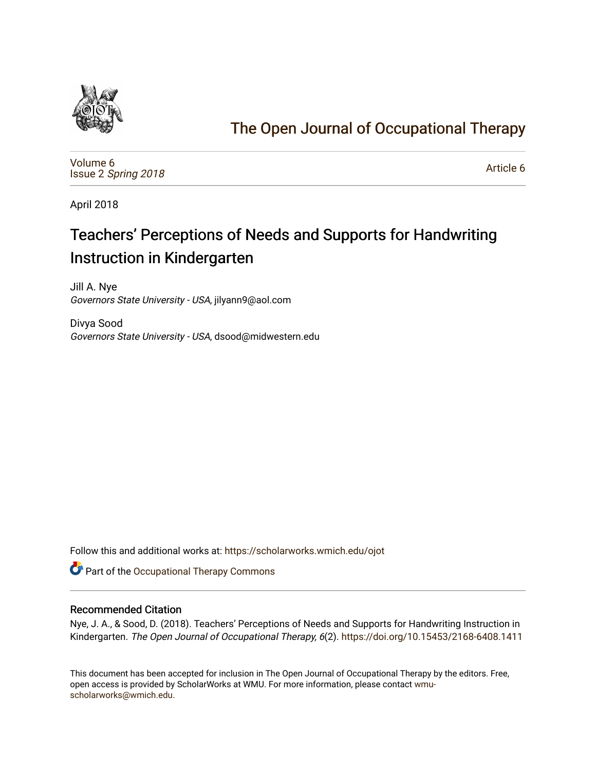

## [The Open Journal of Occupational Therapy](https://scholarworks.wmich.edu/ojot)

[Volume 6](https://scholarworks.wmich.edu/ojot/vol6) Issue 2 [Spring 2018](https://scholarworks.wmich.edu/ojot/vol6/iss2) 

[Article 6](https://scholarworks.wmich.edu/ojot/vol6/iss2/6) 

April 2018

## Teachers' Perceptions of Needs and Supports for Handwriting Instruction in Kindergarten

Jill A. Nye Governors State University - USA, jilyann9@aol.com

Divya Sood Governors State University - USA, dsood@midwestern.edu

Follow this and additional works at: [https://scholarworks.wmich.edu/ojot](https://scholarworks.wmich.edu/ojot?utm_source=scholarworks.wmich.edu%2Fojot%2Fvol6%2Fiss2%2F6&utm_medium=PDF&utm_campaign=PDFCoverPages)

Part of the [Occupational Therapy Commons](http://network.bepress.com/hgg/discipline/752?utm_source=scholarworks.wmich.edu%2Fojot%2Fvol6%2Fiss2%2F6&utm_medium=PDF&utm_campaign=PDFCoverPages) 

#### Recommended Citation

Nye, J. A., & Sood, D. (2018). Teachers' Perceptions of Needs and Supports for Handwriting Instruction in Kindergarten. The Open Journal of Occupational Therapy, 6(2). <https://doi.org/10.15453/2168-6408.1411>

This document has been accepted for inclusion in The Open Journal of Occupational Therapy by the editors. Free, open access is provided by ScholarWorks at WMU. For more information, please contact [wmu](mailto:wmu-scholarworks@wmich.edu)[scholarworks@wmich.edu.](mailto:wmu-scholarworks@wmich.edu)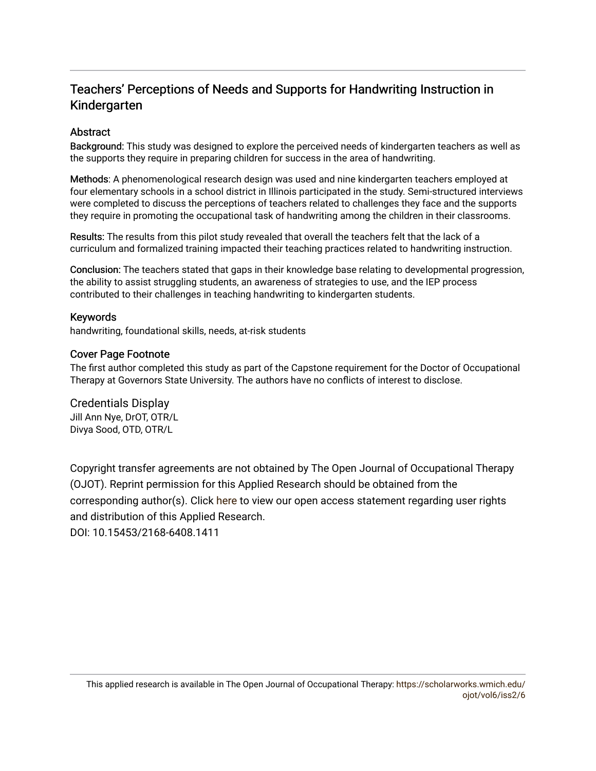## Teachers' Perceptions of Needs and Supports for Handwriting Instruction in Kindergarten

#### **Abstract**

Background: This study was designed to explore the perceived needs of kindergarten teachers as well as the supports they require in preparing children for success in the area of handwriting.

Methods: A phenomenological research design was used and nine kindergarten teachers employed at four elementary schools in a school district in Illinois participated in the study. Semi-structured interviews were completed to discuss the perceptions of teachers related to challenges they face and the supports they require in promoting the occupational task of handwriting among the children in their classrooms.

Results: The results from this pilot study revealed that overall the teachers felt that the lack of a curriculum and formalized training impacted their teaching practices related to handwriting instruction.

Conclusion: The teachers stated that gaps in their knowledge base relating to developmental progression, the ability to assist struggling students, an awareness of strategies to use, and the IEP process contributed to their challenges in teaching handwriting to kindergarten students.

#### Keywords

handwriting, foundational skills, needs, at-risk students

#### Cover Page Footnote

The first author completed this study as part of the Capstone requirement for the Doctor of Occupational Therapy at Governors State University. The authors have no conflicts of interest to disclose.

## Credentials Display

Jill Ann Nye, DrOT, OTR/L Divya Sood, OTD, OTR/L

Copyright transfer agreements are not obtained by The Open Journal of Occupational Therapy (OJOT). Reprint permission for this Applied Research should be obtained from the corresponding author(s). Click [here](https://scholarworks.wmich.edu/ojot/policies.html#rights) to view our open access statement regarding user rights and distribution of this Applied Research.

DOI: 10.15453/2168-6408.1411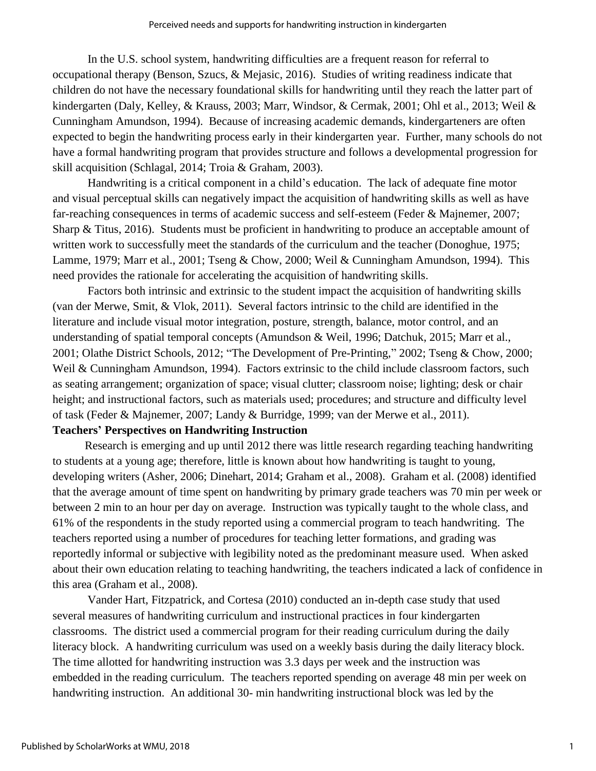In the U.S. school system, handwriting difficulties are a frequent reason for referral to occupational therapy (Benson, Szucs, & Mejasic, 2016). Studies of writing readiness indicate that children do not have the necessary foundational skills for handwriting until they reach the latter part of kindergarten (Daly, Kelley, & Krauss, 2003; Marr, Windsor, & Cermak, 2001; Ohl et al., 2013; Weil & Cunningham Amundson, 1994). Because of increasing academic demands, kindergarteners are often expected to begin the handwriting process early in their kindergarten year. Further, many schools do not have a formal handwriting program that provides structure and follows a developmental progression for skill acquisition (Schlagal, 2014; Troia & Graham, 2003).

Handwriting is a critical component in a child's education. The lack of adequate fine motor and visual perceptual skills can negatively impact the acquisition of handwriting skills as well as have far-reaching consequences in terms of academic success and self-esteem (Feder & Majnemer, 2007; Sharp & Titus, 2016). Students must be proficient in handwriting to produce an acceptable amount of written work to successfully meet the standards of the curriculum and the teacher (Donoghue, 1975; Lamme, 1979; Marr et al., 2001; Tseng & Chow, 2000; Weil & Cunningham Amundson, 1994). This need provides the rationale for accelerating the acquisition of handwriting skills.

Factors both intrinsic and extrinsic to the student impact the acquisition of handwriting skills (van der Merwe, Smit, & Vlok, 2011). Several factors intrinsic to the child are identified in the literature and include visual motor integration, posture, strength, balance, motor control, and an understanding of spatial temporal concepts (Amundson & Weil, 1996; Datchuk, 2015; Marr et al., 2001; Olathe District Schools, 2012; "The Development of Pre-Printing," 2002; Tseng & Chow, 2000; Weil & Cunningham Amundson, 1994). Factors extrinsic to the child include classroom factors, such as seating arrangement; organization of space; visual clutter; classroom noise; lighting; desk or chair height; and instructional factors, such as materials used; procedures; and structure and difficulty level of task (Feder & Majnemer, 2007; Landy & Burridge, 1999; van der Merwe et al., 2011).

#### **Teachers' Perspectives on Handwriting Instruction**

Research is emerging and up until 2012 there was little research regarding teaching handwriting to students at a young age; therefore, little is known about how handwriting is taught to young, developing writers (Asher, 2006; Dinehart, 2014; Graham et al., 2008). Graham et al. (2008) identified that the average amount of time spent on handwriting by primary grade teachers was 70 min per week or between 2 min to an hour per day on average. Instruction was typically taught to the whole class, and 61% of the respondents in the study reported using a commercial program to teach handwriting. The teachers reported using a number of procedures for teaching letter formations, and grading was reportedly informal or subjective with legibility noted as the predominant measure used. When asked about their own education relating to teaching handwriting, the teachers indicated a lack of confidence in this area (Graham et al., 2008).

Vander Hart, Fitzpatrick, and Cortesa (2010) conducted an in-depth case study that used several measures of handwriting curriculum and instructional practices in four kindergarten classrooms. The district used a commercial program for their reading curriculum during the daily literacy block. A handwriting curriculum was used on a weekly basis during the daily literacy block. The time allotted for handwriting instruction was 3.3 days per week and the instruction was embedded in the reading curriculum. The teachers reported spending on average 48 min per week on handwriting instruction. An additional 30- min handwriting instructional block was led by the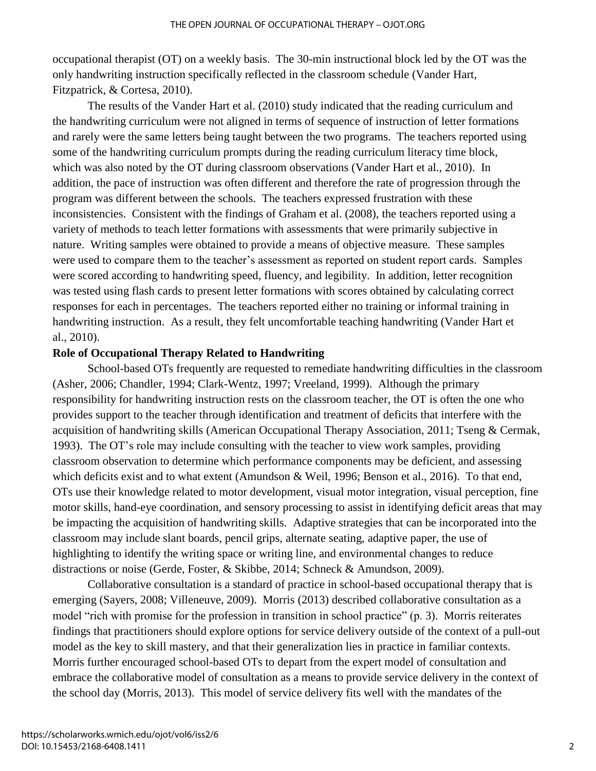occupational therapist (OT) on a weekly basis. The 30-min instructional block led by the OT was the only handwriting instruction specifically reflected in the classroom schedule (Vander Hart, Fitzpatrick, & Cortesa, 2010).

The results of the Vander Hart et al. (2010) study indicated that the reading curriculum and the handwriting curriculum were not aligned in terms of sequence of instruction of letter formations and rarely were the same letters being taught between the two programs. The teachers reported using some of the handwriting curriculum prompts during the reading curriculum literacy time block, which was also noted by the OT during classroom observations (Vander Hart et al., 2010). In addition, the pace of instruction was often different and therefore the rate of progression through the program was different between the schools. The teachers expressed frustration with these inconsistencies. Consistent with the findings of Graham et al. (2008), the teachers reported using a variety of methods to teach letter formations with assessments that were primarily subjective in nature. Writing samples were obtained to provide a means of objective measure. These samples were used to compare them to the teacher's assessment as reported on student report cards. Samples were scored according to handwriting speed, fluency, and legibility. In addition, letter recognition was tested using flash cards to present letter formations with scores obtained by calculating correct responses for each in percentages. The teachers reported either no training or informal training in handwriting instruction. As a result, they felt uncomfortable teaching handwriting (Vander Hart et al., 2010).

#### **Role of Occupational Therapy Related to Handwriting**

School-based OTs frequently are requested to remediate handwriting difficulties in the classroom (Asher, 2006; Chandler, 1994; Clark-Wentz, 1997; Vreeland, 1999). Although the primary responsibility for handwriting instruction rests on the classroom teacher, the OT is often the one who provides support to the teacher through identification and treatment of deficits that interfere with the acquisition of handwriting skills (American Occupational Therapy Association, 2011; Tseng & Cermak, 1993). The OT's role may include consulting with the teacher to view work samples, providing classroom observation to determine which performance components may be deficient, and assessing which deficits exist and to what extent (Amundson & Weil, 1996; Benson et al., 2016). To that end, OTs use their knowledge related to motor development, visual motor integration, visual perception, fine motor skills, hand-eye coordination, and sensory processing to assist in identifying deficit areas that may be impacting the acquisition of handwriting skills. Adaptive strategies that can be incorporated into the classroom may include slant boards, pencil grips, alternate seating, adaptive paper, the use of highlighting to identify the writing space or writing line, and environmental changes to reduce distractions or noise (Gerde, Foster, & Skibbe, 2014; Schneck & Amundson, 2009).

Collaborative consultation is a standard of practice in school-based occupational therapy that is emerging (Sayers, 2008; Villeneuve, 2009). Morris (2013) described collaborative consultation as a model "rich with promise for the profession in transition in school practice" (p. 3). Morris reiterates findings that practitioners should explore options for service delivery outside of the context of a pull-out model as the key to skill mastery, and that their generalization lies in practice in familiar contexts. Morris further encouraged school-based OTs to depart from the expert model of consultation and embrace the collaborative model of consultation as a means to provide service delivery in the context of the school day (Morris, 2013). This model of service delivery fits well with the mandates of the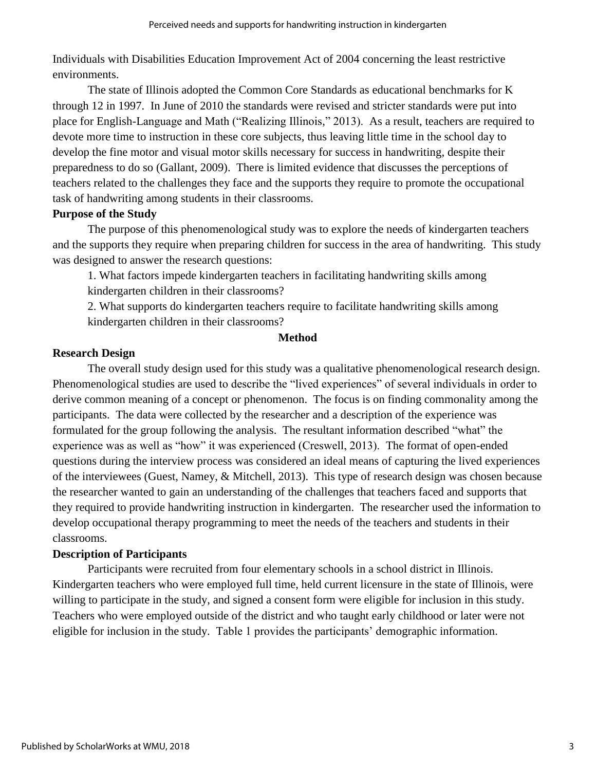Individuals with Disabilities Education Improvement Act of 2004 concerning the least restrictive environments.

The state of Illinois adopted the Common Core Standards as educational benchmarks for K through 12 in 1997. In June of 2010 the standards were revised and stricter standards were put into place for English-Language and Math ("Realizing Illinois," 2013). As a result, teachers are required to devote more time to instruction in these core subjects, thus leaving little time in the school day to develop the fine motor and visual motor skills necessary for success in handwriting, despite their preparedness to do so (Gallant, 2009). There is limited evidence that discusses the perceptions of teachers related to the challenges they face and the supports they require to promote the occupational task of handwriting among students in their classrooms.

### **Purpose of the Study**

The purpose of this phenomenological study was to explore the needs of kindergarten teachers and the supports they require when preparing children for success in the area of handwriting. This study was designed to answer the research questions:

1. What factors impede kindergarten teachers in facilitating handwriting skills among kindergarten children in their classrooms?

2. What supports do kindergarten teachers require to facilitate handwriting skills among kindergarten children in their classrooms?

#### **Method**

### **Research Design**

The overall study design used for this study was a qualitative phenomenological research design. Phenomenological studies are used to describe the "lived experiences" of several individuals in order to derive common meaning of a concept or phenomenon. The focus is on finding commonality among the participants. The data were collected by the researcher and a description of the experience was formulated for the group following the analysis. The resultant information described "what" the experience was as well as "how" it was experienced (Creswell, 2013). The format of open-ended questions during the interview process was considered an ideal means of capturing the lived experiences of the interviewees (Guest, Namey, & Mitchell, 2013). This type of research design was chosen because the researcher wanted to gain an understanding of the challenges that teachers faced and supports that they required to provide handwriting instruction in kindergarten. The researcher used the information to develop occupational therapy programming to meet the needs of the teachers and students in their classrooms.

#### **Description of Participants**

Participants were recruited from four elementary schools in a school district in Illinois. Kindergarten teachers who were employed full time, held current licensure in the state of Illinois, were willing to participate in the study, and signed a consent form were eligible for inclusion in this study. Teachers who were employed outside of the district and who taught early childhood or later were not eligible for inclusion in the study. Table 1 provides the participants' demographic information.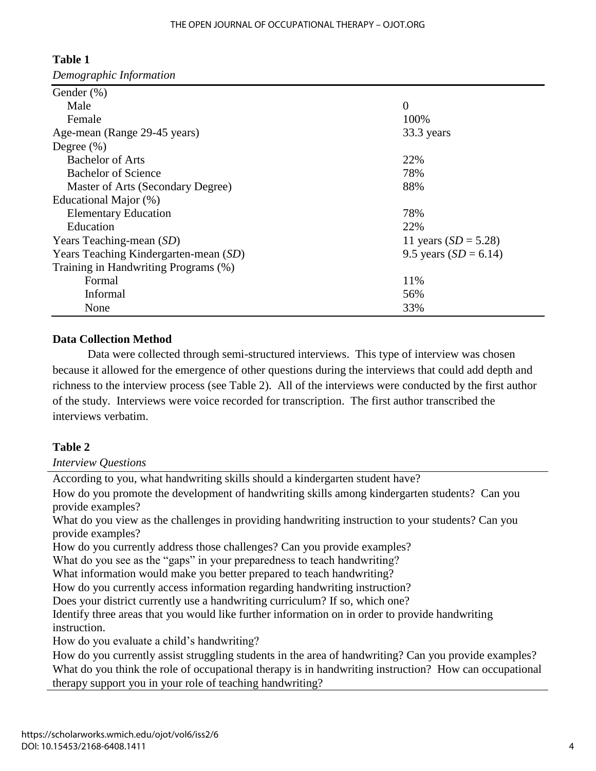| Gender $(\%)$                         |                         |
|---------------------------------------|-------------------------|
| Male                                  | $\theta$                |
| Female                                | 100%                    |
| Age-mean (Range 29-45 years)          | 33.3 years              |
| Degree $(\% )$                        |                         |
| <b>Bachelor of Arts</b>               | 22%                     |
| <b>Bachelor of Science</b>            | 78%                     |
| Master of Arts (Secondary Degree)     | 88%                     |
| Educational Major (%)                 |                         |
| <b>Elementary Education</b>           | 78%                     |
| Education                             | 22%                     |
| Years Teaching-mean (SD)              | 11 years $(SD = 5.28)$  |
| Years Teaching Kindergarten-mean (SD) | 9.5 years $(SD = 6.14)$ |
| Training in Handwriting Programs (%)  |                         |
| Formal                                | 11%                     |
| Informal                              | 56%                     |
| None                                  | 33%                     |

# **Table 1**

*Demographic Information*

## **Data Collection Method**

Data were collected through semi-structured interviews. This type of interview was chosen because it allowed for the emergence of other questions during the interviews that could add depth and richness to the interview process (see Table 2). All of the interviews were conducted by the first author of the study. Interviews were voice recorded for transcription. The first author transcribed the interviews verbatim.

## **Table 2**

*Interview Questions*

| According to you, what handwriting skills should a kindergarten student have?                          |
|--------------------------------------------------------------------------------------------------------|
| How do you promote the development of handwriting skills among kindergarten students? Can you          |
| provide examples?                                                                                      |
| What do you view as the challenges in providing handwriting instruction to your students? Can you      |
| provide examples?                                                                                      |
| How do you currently address those challenges? Can you provide examples?                               |
| What do you see as the "gaps" in your preparedness to teach handwriting?                               |
| What information would make you better prepared to teach handwriting?                                  |
| How do you currently access information regarding handwriting instruction?                             |
| Does your district currently use a handwriting curriculum? If so, which one?                           |
| Identify three areas that you would like further information on in order to provide handwriting        |
| instruction.                                                                                           |
| How do you evaluate a child's handwriting?                                                             |
| How do you currently assist struggling students in the area of handwriting? Can you provide examples?  |
| What do you think the role of occupational therapy is in handwriting instruction? How can occupational |
| therapy support you in your role of teaching handwriting?                                              |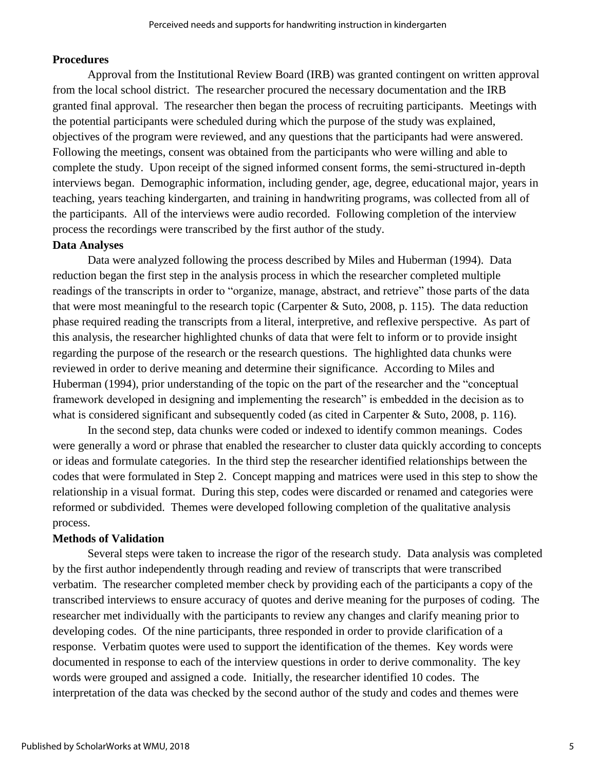## **Procedures**

Approval from the Institutional Review Board (IRB) was granted contingent on written approval from the local school district. The researcher procured the necessary documentation and the IRB granted final approval. The researcher then began the process of recruiting participants. Meetings with the potential participants were scheduled during which the purpose of the study was explained, objectives of the program were reviewed, and any questions that the participants had were answered. Following the meetings, consent was obtained from the participants who were willing and able to complete the study. Upon receipt of the signed informed consent forms, the semi-structured in-depth interviews began. Demographic information, including gender, age, degree, educational major, years in teaching, years teaching kindergarten, and training in handwriting programs, was collected from all of the participants. All of the interviews were audio recorded. Following completion of the interview process the recordings were transcribed by the first author of the study.

## **Data Analyses**

Data were analyzed following the process described by Miles and Huberman (1994). Data reduction began the first step in the analysis process in which the researcher completed multiple readings of the transcripts in order to "organize, manage, abstract, and retrieve" those parts of the data that were most meaningful to the research topic (Carpenter  $&$  Suto, 2008, p. 115). The data reduction phase required reading the transcripts from a literal, interpretive, and reflexive perspective. As part of this analysis, the researcher highlighted chunks of data that were felt to inform or to provide insight regarding the purpose of the research or the research questions. The highlighted data chunks were reviewed in order to derive meaning and determine their significance. According to Miles and Huberman (1994), prior understanding of the topic on the part of the researcher and the "conceptual framework developed in designing and implementing the research" is embedded in the decision as to what is considered significant and subsequently coded (as cited in Carpenter & Suto, 2008, p. 116).

In the second step, data chunks were coded or indexed to identify common meanings. Codes were generally a word or phrase that enabled the researcher to cluster data quickly according to concepts or ideas and formulate categories. In the third step the researcher identified relationships between the codes that were formulated in Step 2. Concept mapping and matrices were used in this step to show the relationship in a visual format. During this step, codes were discarded or renamed and categories were reformed or subdivided. Themes were developed following completion of the qualitative analysis process.

## **Methods of Validation**

Several steps were taken to increase the rigor of the research study. Data analysis was completed by the first author independently through reading and review of transcripts that were transcribed verbatim. The researcher completed member check by providing each of the participants a copy of the transcribed interviews to ensure accuracy of quotes and derive meaning for the purposes of coding. The researcher met individually with the participants to review any changes and clarify meaning prior to developing codes. Of the nine participants, three responded in order to provide clarification of a response. Verbatim quotes were used to support the identification of the themes. Key words were documented in response to each of the interview questions in order to derive commonality. The key words were grouped and assigned a code. Initially, the researcher identified 10 codes. The interpretation of the data was checked by the second author of the study and codes and themes were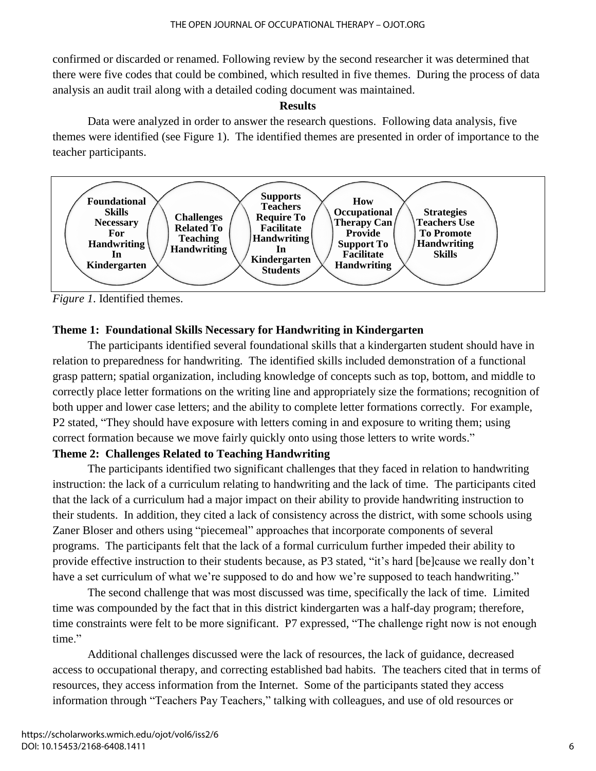confirmed or discarded or renamed. Following review by the second researcher it was determined that there were five codes that could be combined, which resulted in five themes. During the process of data analysis an audit trail along with a detailed coding document was maintained.

#### **Results**

Data were analyzed in order to answer the research questions. Following data analysis, five themes were identified (see Figure 1). The identified themes are presented in order of importance to the teacher participants.



*Figure 1*. Identified themes.

## **Theme 1: Foundational Skills Necessary for Handwriting in Kindergarten**

The participants identified several foundational skills that a kindergarten student should have in relation to preparedness for handwriting. The identified skills included demonstration of a functional grasp pattern; spatial organization, including knowledge of concepts such as top, bottom, and middle to correctly place letter formations on the writing line and appropriately size the formations; recognition of both upper and lower case letters; and the ability to complete letter formations correctly. For example, P2 stated, "They should have exposure with letters coming in and exposure to writing them; using correct formation because we move fairly quickly onto using those letters to write words."

## **Theme 2: Challenges Related to Teaching Handwriting**

The participants identified two significant challenges that they faced in relation to handwriting instruction: the lack of a curriculum relating to handwriting and the lack of time. The participants cited that the lack of a curriculum had a major impact on their ability to provide handwriting instruction to their students. In addition, they cited a lack of consistency across the district, with some schools using Zaner Bloser and others using "piecemeal" approaches that incorporate components of several programs. The participants felt that the lack of a formal curriculum further impeded their ability to provide effective instruction to their students because, as P3 stated, "it's hard [be]cause we really don't have a set curriculum of what we're supposed to do and how we're supposed to teach handwriting."

The second challenge that was most discussed was time, specifically the lack of time. Limited time was compounded by the fact that in this district kindergarten was a half-day program; therefore, time constraints were felt to be more significant. P7 expressed, "The challenge right now is not enough time."

Additional challenges discussed were the lack of resources, the lack of guidance, decreased access to occupational therapy, and correcting established bad habits. The teachers cited that in terms of resources, they access information from the Internet. Some of the participants stated they access information through "Teachers Pay Teachers," talking with colleagues, and use of old resources or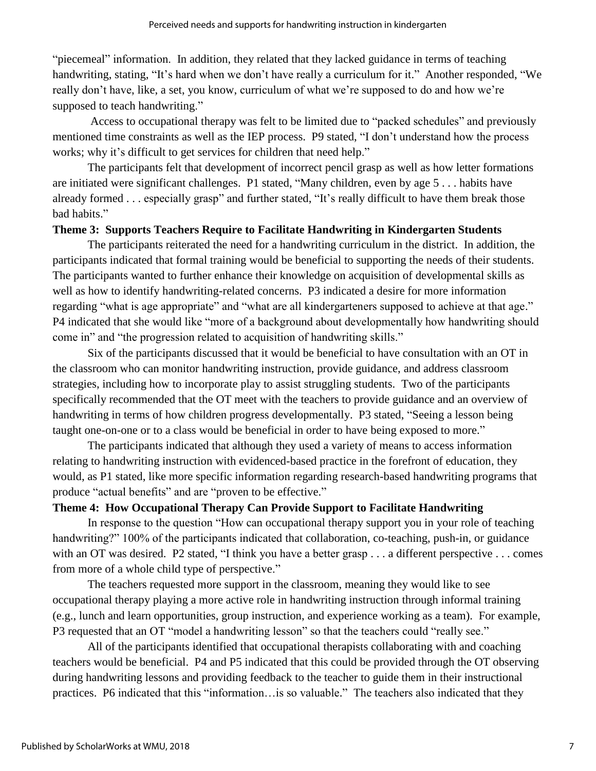"piecemeal" information. In addition, they related that they lacked guidance in terms of teaching handwriting, stating, "It's hard when we don't have really a curriculum for it." Another responded, "We really don't have, like, a set, you know, curriculum of what we're supposed to do and how we're supposed to teach handwriting."

Access to occupational therapy was felt to be limited due to "packed schedules" and previously mentioned time constraints as well as the IEP process. P9 stated, "I don't understand how the process works; why it's difficult to get services for children that need help."

The participants felt that development of incorrect pencil grasp as well as how letter formations are initiated were significant challenges. P1 stated, "Many children, even by age 5 . . . habits have already formed . . . especially grasp" and further stated, "It's really difficult to have them break those bad habits."

## **Theme 3: Supports Teachers Require to Facilitate Handwriting in Kindergarten Students**

The participants reiterated the need for a handwriting curriculum in the district. In addition, the participants indicated that formal training would be beneficial to supporting the needs of their students. The participants wanted to further enhance their knowledge on acquisition of developmental skills as well as how to identify handwriting-related concerns. P3 indicated a desire for more information regarding "what is age appropriate" and "what are all kindergarteners supposed to achieve at that age." P4 indicated that she would like "more of a background about developmentally how handwriting should come in" and "the progression related to acquisition of handwriting skills."

Six of the participants discussed that it would be beneficial to have consultation with an OT in the classroom who can monitor handwriting instruction, provide guidance, and address classroom strategies, including how to incorporate play to assist struggling students. Two of the participants specifically recommended that the OT meet with the teachers to provide guidance and an overview of handwriting in terms of how children progress developmentally. P3 stated, "Seeing a lesson being taught one-on-one or to a class would be beneficial in order to have being exposed to more."

The participants indicated that although they used a variety of means to access information relating to handwriting instruction with evidenced-based practice in the forefront of education, they would, as P1 stated, like more specific information regarding research-based handwriting programs that produce "actual benefits" and are "proven to be effective."

## **Theme 4: How Occupational Therapy Can Provide Support to Facilitate Handwriting**

In response to the question "How can occupational therapy support you in your role of teaching handwriting?" 100% of the participants indicated that collaboration, co-teaching, push-in, or guidance with an OT was desired. P2 stated, "I think you have a better grasp . . . a different perspective . . . comes from more of a whole child type of perspective."

The teachers requested more support in the classroom, meaning they would like to see occupational therapy playing a more active role in handwriting instruction through informal training (e.g., lunch and learn opportunities, group instruction, and experience working as a team). For example, P3 requested that an OT "model a handwriting lesson" so that the teachers could "really see."

All of the participants identified that occupational therapists collaborating with and coaching teachers would be beneficial. P4 and P5 indicated that this could be provided through the OT observing during handwriting lessons and providing feedback to the teacher to guide them in their instructional practices. P6 indicated that this "information…is so valuable." The teachers also indicated that they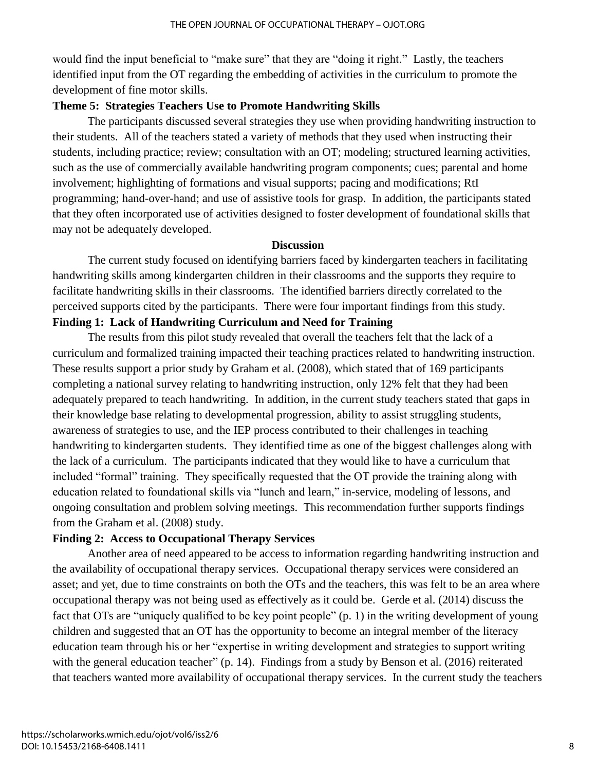would find the input beneficial to "make sure" that they are "doing it right." Lastly, the teachers identified input from the OT regarding the embedding of activities in the curriculum to promote the development of fine motor skills.

#### **Theme 5: Strategies Teachers Use to Promote Handwriting Skills**

The participants discussed several strategies they use when providing handwriting instruction to their students. All of the teachers stated a variety of methods that they used when instructing their students, including practice; review; consultation with an OT; modeling; structured learning activities, such as the use of commercially available handwriting program components; cues; parental and home involvement; highlighting of formations and visual supports; pacing and modifications; RtI programming; hand-over-hand; and use of assistive tools for grasp. In addition, the participants stated that they often incorporated use of activities designed to foster development of foundational skills that may not be adequately developed.

#### **Discussion**

The current study focused on identifying barriers faced by kindergarten teachers in facilitating handwriting skills among kindergarten children in their classrooms and the supports they require to facilitate handwriting skills in their classrooms. The identified barriers directly correlated to the perceived supports cited by the participants. There were four important findings from this study. **Finding 1: Lack of Handwriting Curriculum and Need for Training**

The results from this pilot study revealed that overall the teachers felt that the lack of a curriculum and formalized training impacted their teaching practices related to handwriting instruction. These results support a prior study by Graham et al. (2008), which stated that of 169 participants completing a national survey relating to handwriting instruction, only 12% felt that they had been adequately prepared to teach handwriting. In addition, in the current study teachers stated that gaps in their knowledge base relating to developmental progression, ability to assist struggling students, awareness of strategies to use, and the IEP process contributed to their challenges in teaching handwriting to kindergarten students. They identified time as one of the biggest challenges along with the lack of a curriculum. The participants indicated that they would like to have a curriculum that included "formal" training. They specifically requested that the OT provide the training along with education related to foundational skills via "lunch and learn," in-service, modeling of lessons, and ongoing consultation and problem solving meetings. This recommendation further supports findings from the Graham et al. (2008) study.

#### **Finding 2: Access to Occupational Therapy Services**

Another area of need appeared to be access to information regarding handwriting instruction and the availability of occupational therapy services. Occupational therapy services were considered an asset; and yet, due to time constraints on both the OTs and the teachers, this was felt to be an area where occupational therapy was not being used as effectively as it could be. Gerde et al. (2014) discuss the fact that OTs are "uniquely qualified to be key point people" (p. 1) in the writing development of young children and suggested that an OT has the opportunity to become an integral member of the literacy education team through his or her "expertise in writing development and strategies to support writing with the general education teacher" (p. 14). Findings from a study by Benson et al. (2016) reiterated that teachers wanted more availability of occupational therapy services. In the current study the teachers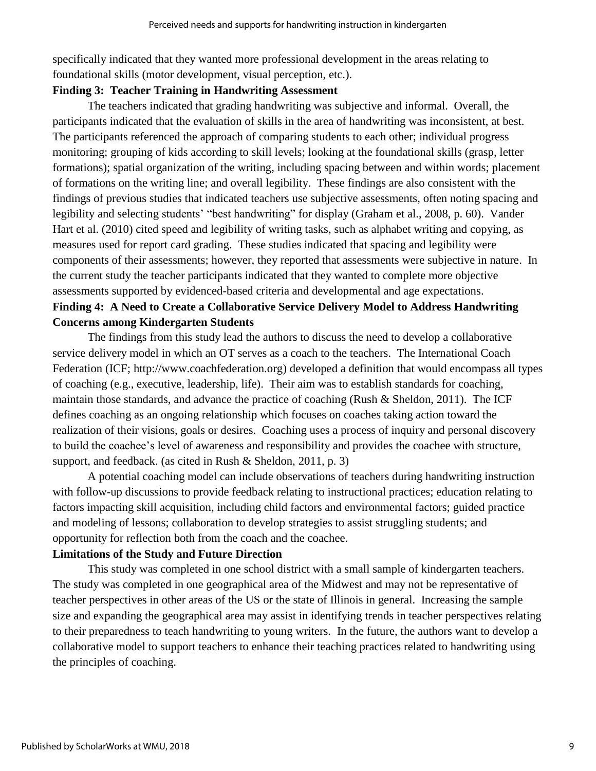specifically indicated that they wanted more professional development in the areas relating to foundational skills (motor development, visual perception, etc.).

## **Finding 3: Teacher Training in Handwriting Assessment**

The teachers indicated that grading handwriting was subjective and informal. Overall, the participants indicated that the evaluation of skills in the area of handwriting was inconsistent, at best. The participants referenced the approach of comparing students to each other; individual progress monitoring; grouping of kids according to skill levels; looking at the foundational skills (grasp, letter formations); spatial organization of the writing, including spacing between and within words; placement of formations on the writing line; and overall legibility. These findings are also consistent with the findings of previous studies that indicated teachers use subjective assessments, often noting spacing and legibility and selecting students' "best handwriting" for display (Graham et al., 2008, p. 60). Vander Hart et al. (2010) cited speed and legibility of writing tasks, such as alphabet writing and copying, as measures used for report card grading. These studies indicated that spacing and legibility were components of their assessments; however, they reported that assessments were subjective in nature. In the current study the teacher participants indicated that they wanted to complete more objective assessments supported by evidenced-based criteria and developmental and age expectations.

## **Finding 4: A Need to Create a Collaborative Service Delivery Model to Address Handwriting Concerns among Kindergarten Students**

The findings from this study lead the authors to discuss the need to develop a collaborative service delivery model in which an OT serves as a coach to the teachers. The International Coach Federation (ICF; http://www.coachfederation.org) developed a definition that would encompass all types of coaching (e.g., executive, leadership, life). Their aim was to establish standards for coaching, maintain those standards, and advance the practice of coaching (Rush & Sheldon, 2011). The ICF defines coaching as an ongoing relationship which focuses on coaches taking action toward the realization of their visions, goals or desires. Coaching uses a process of inquiry and personal discovery to build the coachee's level of awareness and responsibility and provides the coachee with structure, support, and feedback. (as cited in Rush & Sheldon, 2011, p. 3)

A potential coaching model can include observations of teachers during handwriting instruction with follow-up discussions to provide feedback relating to instructional practices; education relating to factors impacting skill acquisition, including child factors and environmental factors; guided practice and modeling of lessons; collaboration to develop strategies to assist struggling students; and opportunity for reflection both from the coach and the coachee.

## **Limitations of the Study and Future Direction**

This study was completed in one school district with a small sample of kindergarten teachers. The study was completed in one geographical area of the Midwest and may not be representative of teacher perspectives in other areas of the US or the state of Illinois in general. Increasing the sample size and expanding the geographical area may assist in identifying trends in teacher perspectives relating to their preparedness to teach handwriting to young writers. In the future, the authors want to develop a collaborative model to support teachers to enhance their teaching practices related to handwriting using the principles of coaching.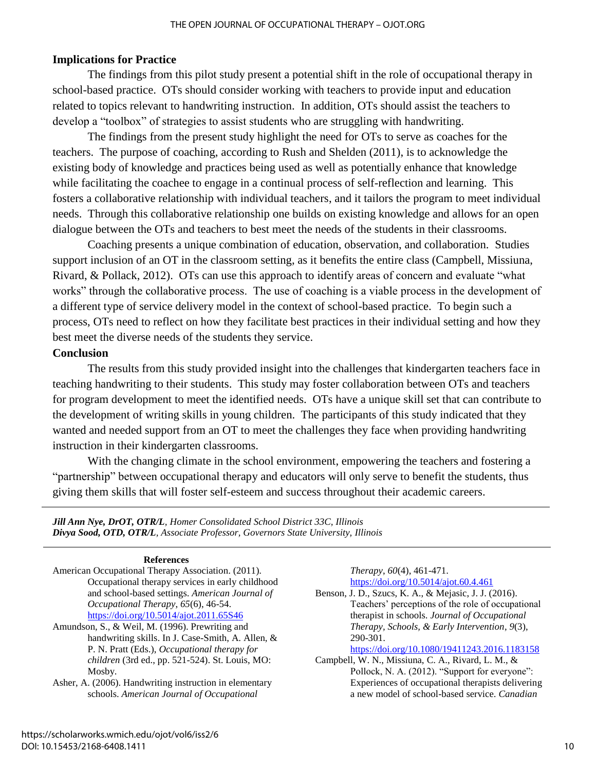## **Implications for Practice**

The findings from this pilot study present a potential shift in the role of occupational therapy in school-based practice. OTs should consider working with teachers to provide input and education related to topics relevant to handwriting instruction. In addition, OTs should assist the teachers to develop a "toolbox" of strategies to assist students who are struggling with handwriting.

The findings from the present study highlight the need for OTs to serve as coaches for the teachers. The purpose of coaching, according to Rush and Shelden (2011), is to acknowledge the existing body of knowledge and practices being used as well as potentially enhance that knowledge while facilitating the coachee to engage in a continual process of self-reflection and learning. This fosters a collaborative relationship with individual teachers, and it tailors the program to meet individual needs. Through this collaborative relationship one builds on existing knowledge and allows for an open dialogue between the OTs and teachers to best meet the needs of the students in their classrooms.

Coaching presents a unique combination of education, observation, and collaboration. Studies support inclusion of an OT in the classroom setting, as it benefits the entire class (Campbell, Missiuna, Rivard, & Pollack, 2012). OTs can use this approach to identify areas of concern and evaluate "what works" through the collaborative process. The use of coaching is a viable process in the development of a different type of service delivery model in the context of school-based practice. To begin such a process, OTs need to reflect on how they facilitate best practices in their individual setting and how they best meet the diverse needs of the students they service.

#### **Conclusion**

The results from this study provided insight into the challenges that kindergarten teachers face in teaching handwriting to their students. This study may foster collaboration between OTs and teachers for program development to meet the identified needs. OTs have a unique skill set that can contribute to the development of writing skills in young children. The participants of this study indicated that they wanted and needed support from an OT to meet the challenges they face when providing handwriting instruction in their kindergarten classrooms.

With the changing climate in the school environment, empowering the teachers and fostering a "partnership" between occupational therapy and educators will only serve to benefit the students, thus giving them skills that will foster self-esteem and success throughout their academic careers.

*Jill Ann Nye, DrOT, OTR/L, Homer Consolidated School District 33C, Illinois Divya Sood, OTD, OTR/L, Associate Professor, Governors State University, Illinois*

#### **References**

- American Occupational Therapy Association. (2011). Occupational therapy services in early childhood and school-based settings. *American Journal of Occupational Therapy*, *65*(6), 46-54. <https://doi.org/10.5014/ajot.2011.65S46>
- Amundson, S., & Weil, M. (1996). Prewriting and handwriting skills. In J. Case-Smith, A. Allen, & P. N. Pratt (Eds.), *Occupational therapy for children* (3rd ed., pp. 521-524). St. Louis, MO: Mosby.
- Asher, A. (2006). Handwriting instruction in elementary schools. *American Journal of Occupational*

*Therapy*, *60*(4), 461-471. <https://doi.org/10.5014/ajot.60.4.461>

Benson, J. D., Szucs, K. A., & Mejasic, J. J. (2016). Teachers' perceptions of the role of occupational therapist in schools. *Journal of Occupational Therapy, Schools, & Early Intervention*, *9*(3), 290-301.

#### <https://doi.org/10.1080/19411243.2016.1183158>

Campbell, W. N., Missiuna, C. A., Rivard, L. M., & Pollock, N. A. (2012). "Support for everyone": Experiences of occupational therapists delivering a new model of school-based service. *Canadian*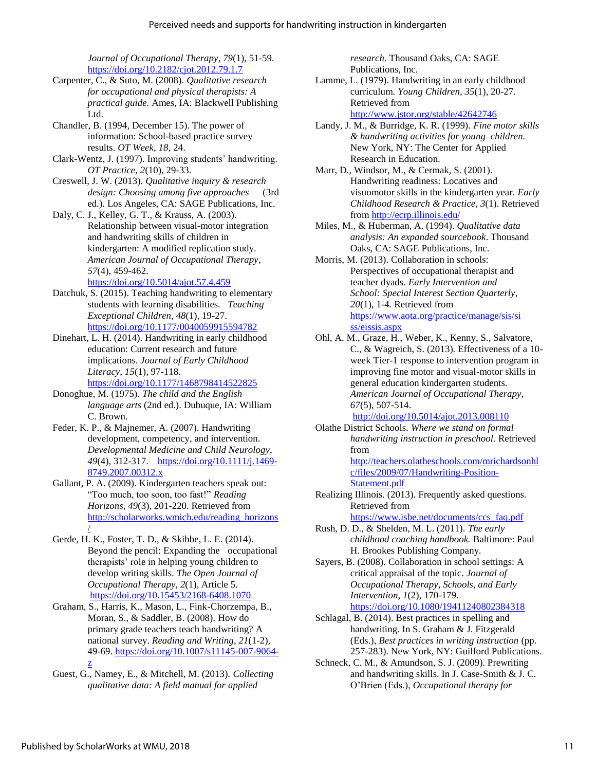*Journal of Occupational Therapy*, *79*(1), 51-59. <https://doi.org/10.2182/cjot.2012.79.1.7>

- Carpenter, C., & Suto, M. (2008). *Qualitative research for occupational and physical therapists: A practical guide.* Ames, IA: Blackwell Publishing Ltd.
- Chandler, B. (1994, December 15). The power of information: School-based practice survey results. *OT Week*, *18*, 24.
- Clark-Wentz, J. (1997). Improving students' handwriting. *OT Practice*, *2*(10), 29-33.
- Creswell, J. W. (2013). *Qualitative inquiry & research design: Choosing among five approaches* (3rd ed*.*)*.* Los Angeles, CA: SAGE Publications, Inc.

Daly, C. J., Kelley, G. T., & Krauss, A. (2003). Relationship between visual-motor integration and handwriting skills of children in kindergarten: A modified replication study. *American Journal of Occupational Therapy*, *57*(4), 459-462.

#### <https://doi.org/10.5014/ajot.57.4.459>

- Datchuk, S. (2015). Teaching handwriting to elementary students with learning disabilities. *Teaching Exceptional Children*, *48*(1), 19-27. <https://doi.org/10.1177/0040059915594782>
- Dinehart, L. H. (2014). Handwriting in early childhood education: Current research and future implications. *Journal of Early Childhood Literacy*, *15*(1), 97-118. <https://doi.org/10.1177/1468798414522825>
- Donoghue, M. (1975). *The child and the English language arts* (2nd ed.). Dubuque, IA: William C. Brown.
- Feder, K. P., & Majnemer, A. (2007). Handwriting development, competency, and intervention. *Developmental Medicine and Child Neurology*, *49*(4), 312-317. [https://doi.org/10.1111/j.1469-](https://doi.org/10.1111/j.1469-8749.2007.00312.x) [8749.2007.00312.x](https://doi.org/10.1111/j.1469-8749.2007.00312.x)
- Gallant, P. A. (2009). Kindergarten teachers speak out: "Too much, too soon, too fast!" *Reading Horizons*, *49*(3), 201-220. Retrieved from [http://scholarworks.wmich.edu/reading\\_horizons](http://scholarworks.wmich.edu/reading_horizons/) [/](http://scholarworks.wmich.edu/reading_horizons/)
- Gerde, H. K., Foster, T. D., & Skibbe, L. E. (2014). Beyond the pencil: Expanding the occupational therapists' role in helping young children to develop writing skills. *The Open Journal of Occupational Therapy*, *2*(1), Article 5. <https://doi.org/10.15453/2168-6408.1070>
- Graham, S., Harris, K., Mason, L., Fink-Chorzempa, B., Moran, S., & Saddler, B. (2008). How do primary grade teachers teach handwriting? A national survey. *Reading and Writing*, *21*(1-2), 49-69. [https://doi.org/10.1007/s11145-007-9064](https://doi.org/10.1007/s11145-007-9064-z) [z](https://doi.org/10.1007/s11145-007-9064-z)
- Guest, G., Namey, E., & Mitchell, M. (2013). *Collecting qualitative data: A field manual for applied*

*research.* Thousand Oaks, CA: SAGE Publications, Inc.

- Lamme, L. (1979). Handwriting in an early childhood curriculum. *Young Children*, *35*(1), 20-27. Retrieved from <http://www.jstor.org/stable/42642746>
- Landy, J. M., & Burridge, K. R. (1999). *Fine motor skills & handwriting activities for young children.* New York, NY: The Center for Applied Research in Education.
- Marr, D., Windsor, M., & Cermak, S. (2001). Handwriting readiness: Locatives and visuomotor skills in the kindergarten year. *Early Childhood Research & Practice*, *3*(1). Retrieved from<http://ecrp.illinois.edu/>
- Miles, M., & Huberman, A. (1994). *Qualitative data analysis: An expanded sourcebook*. Thousand Oaks, CA: SAGE Publications, Inc.
- Morris, M. (2013). Collaboration in schools: Perspectives of occupational therapist and teacher dyads. *Early Intervention and School: Special Interest Section Quarterly*, *20*(1), 1-4*.* Retrieved from [https://www.aota.org/practice/manage/sis/si](https://www.aota.org/practice/manage/sis/siss/eissis.aspx) [ss/eissis.aspx](https://www.aota.org/practice/manage/sis/siss/eissis.aspx)
- Ohl, A. M., Graze, H., Weber, K., Kenny, S., Salvatore, C., & Wagreich, S. (2013). Effectiveness of a 10 week Tier-1 response to intervention program in improving fine motor and visual-motor skills in general education kindergarten students. *American Journal of Occupational Therapy*, *67*(5), 507-514.

#### <http://doi.org/10.5014/ajot.2013.008110>

Olathe District Schools. *Where we stand on formal handwriting instruction in preschool.* Retrieved from

[http://teachers.olatheschools.com/mrichardsonhl](http://teachers.olatheschools.com/mrichardsonhlc/files/2009/07/Handwriting-Position-) [c/files/2009/07/Handwriting-Position-](http://teachers.olatheschools.com/mrichardsonhlc/files/2009/07/Handwriting-Position-)[Statement.pdf](http://teachers.olatheschools.com/mrichardsonhlc/files/2009/07/Handwriting-Position-)

Realizing Illinois. (2013). Frequently asked questions. Retrieved from

[https://www.isbe.net/documents/ccs\\_faq.pdf](https://www.isbe.net/documents/ccs_faq.pdf)

- Rush, D. D., & Shelden, M. L. (2011). *The early childhood coaching handbook.* Baltimore: Paul H. Brookes Publishing Company.
- Sayers, B. (2008). Collaboration in school settings: A critical appraisal of the topic. *Journal of Occupational Therapy, Schools, and Early Intervention*, *1*(2), 170-179. <https://doi.org/10.1080/19411240802384318>
- Schlagal, B. (2014). Best practices in spelling and handwriting. In S. Graham & J. Fitzgerald (Eds.), *Best practices in writing instruction* (pp. 257-283). New York, NY: Guilford Publications.
- Schneck, C. M., & Amundson, S. J. (2009). Prewriting and handwriting skills. In J. Case-Smith & J. C. O'Brien (Eds.), *Occupational therapy for*